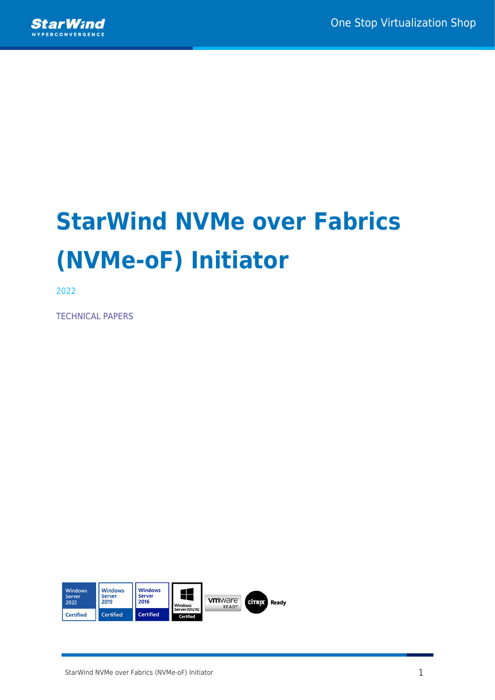

# **StarWind NVMe over Fabrics (NVMe-oF) Initiator**

2022

TECHNICAL PAPERS

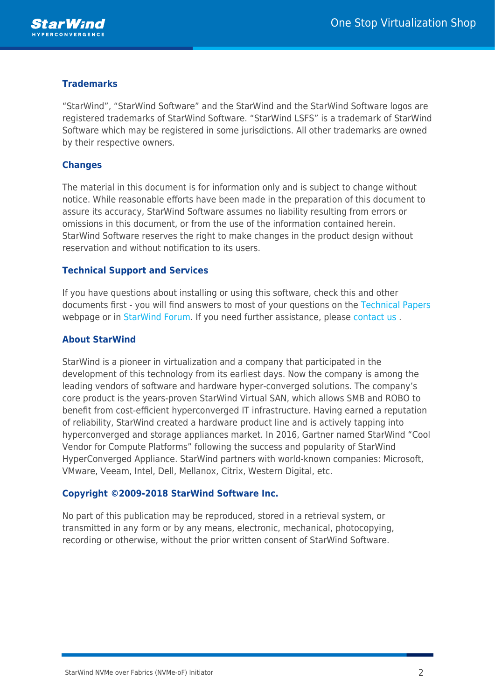

### **Trademarks**

"StarWind", "StarWind Software" and the StarWind and the StarWind Software logos are registered trademarks of StarWind Software. "StarWind LSFS" is a trademark of StarWind Software which may be registered in some jurisdictions. All other trademarks are owned by their respective owners.

### **Changes**

The material in this document is for information only and is subject to change without notice. While reasonable efforts have been made in the preparation of this document to assure its accuracy, StarWind Software assumes no liability resulting from errors or omissions in this document, or from the use of the information contained herein. StarWind Software reserves the right to make changes in the product design without reservation and without notification to its users.

### **Technical Support and Services**

If you have questions about installing or using this software, check this and other documents first - you will find answers to most of your questions on the [Technical Papers](https://www.starwind.com/resource-library) webpage or in [StarWind Forum](https://www.starwind.com/forums). If you need further assistance, please [contact us](https://www.starwind.com/contact-us) .

### **About StarWind**

StarWind is a pioneer in virtualization and a company that participated in the development of this technology from its earliest days. Now the company is among the leading vendors of software and hardware hyper-converged solutions. The company's core product is the years-proven StarWind Virtual SAN, which allows SMB and ROBO to benefit from cost-efficient hyperconverged IT infrastructure. Having earned a reputation of reliability, StarWind created a hardware product line and is actively tapping into hyperconverged and storage appliances market. In 2016, Gartner named StarWind "Cool Vendor for Compute Platforms" following the success and popularity of StarWind HyperConverged Appliance. StarWind partners with world-known companies: Microsoft, VMware, Veeam, Intel, Dell, Mellanox, Citrix, Western Digital, etc.

### **Copyright ©2009-2018 StarWind Software Inc.**

No part of this publication may be reproduced, stored in a retrieval system, or transmitted in any form or by any means, electronic, mechanical, photocopying, recording or otherwise, without the prior written consent of StarWind Software.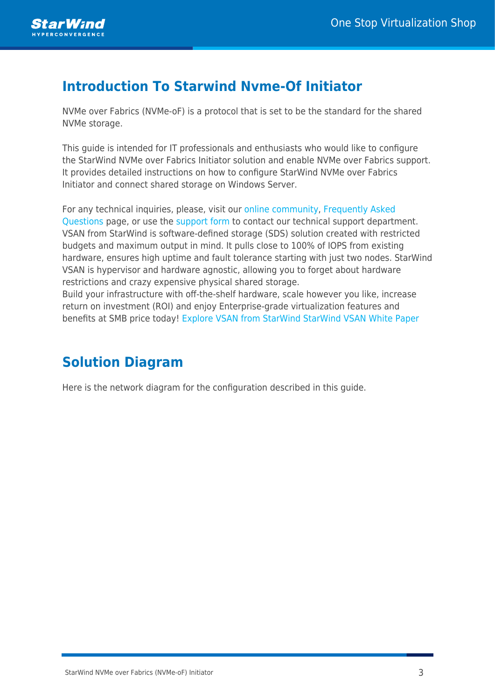# **Introduction To Starwind Nvme-Of Initiator**

NVMe over Fabrics (NVMe-oF) is a protocol that is set to be the standard for the shared NVMe storage.

This guide is intended for IT professionals and enthusiasts who would like to configure the StarWind NVMe over Fabrics Initiator solution and enable NVMe over Fabrics support. It provides detailed instructions on how to configure StarWind NVMe over Fabrics Initiator and connect shared storage on Windows Server.

For any technical inquiries, please, visit our [online community](https://forums.starwindsoftware.com/), [Frequently Asked](https://www.starwindsoftware.com/starwind-faq) [Questions](https://www.starwindsoftware.com/starwind-faq) page, or use the [support form](https://www.starwindsoftware.com/support-form) to contact our technical support department. VSAN from StarWind is software-defined storage (SDS) solution created with restricted budgets and maximum output in mind. It pulls close to 100% of IOPS from existing hardware, ensures high uptime and fault tolerance starting with just two nodes. StarWind VSAN is hypervisor and hardware agnostic, allowing you to forget about hardware restrictions and crazy expensive physical shared storage. Build your infrastructure with off-the-shelf hardware, scale however you like, increase

return on investment (ROI) and enjoy Enterprise-grade virtualization features and benefits at SMB price today! [Explore VSAN from StarWind](https://www.starwindsoftware.com/starwind-virtual-san) [StarWind VSAN White Paper](https://www.starwindsoftware.com/whitepapers/starwind-virtual-san-whitepaper.pdf)

# **Solution Diagram**

Here is the network diagram for the configuration described in this guide.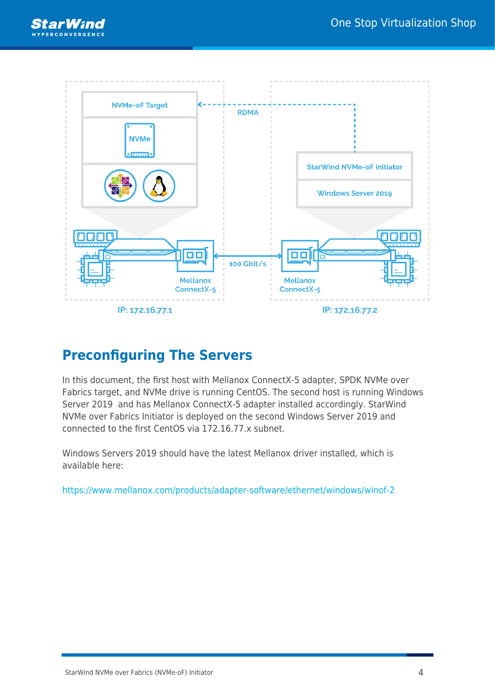



# **Preconfiguring The Servers**

In this document, the first host with Mellanox ConnectX-5 adapter, SPDK NVMe over Fabrics target, and NVMe drive is running CentOS. The second host is running Windows Server 2019 and has Mellanox ConnectX-5 adapter installed accordingly. StarWind NVMe over Fabrics Initiator is deployed on the second Windows Server 2019 and connected to the first CentOS via 172.16.77.x subnet.

Windows Servers 2019 should have the latest Mellanox driver installed, which is available here:

<https://www.mellanox.com/products/adapter-software/ethernet/windows/winof-2>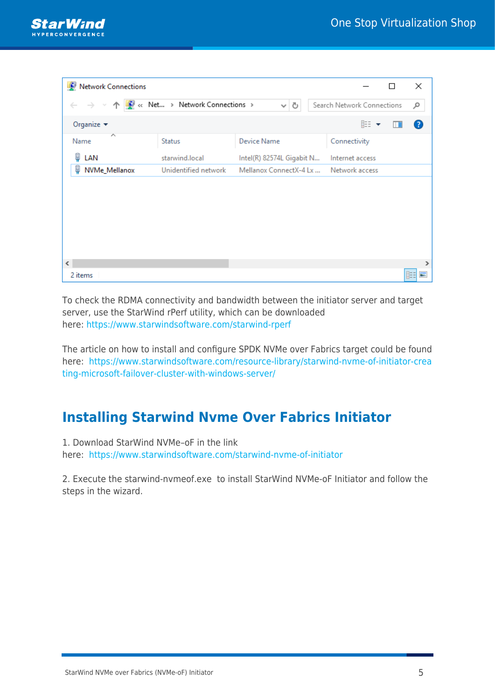

| Network Connections               |                                    |                           |                            | □ | ×             |
|-----------------------------------|------------------------------------|---------------------------|----------------------------|---|---------------|
| $\leftarrow$ $\rightarrow$ $\sim$ | ↑ C << Net > Network Connections > | ৺ ত                       | Search Network Connections |   | مر            |
| Organize $\blacktriangleright$    |                                    |                           | 距 ▼                        |   | Ø             |
| ᄉ<br>Name                         | <b>Status</b>                      | <b>Device Name</b>        | Connectivity               |   |               |
| μ<br>LAN                          | starwind.local                     | Intel(R) 82574L Gigabit N | Internet access            |   |               |
| NVMe_Mellanox<br>μ                | Unidentified network               | Mellanox ConnectX-4 Lx    | Network access             |   |               |
|                                   |                                    |                           |                            |   |               |
|                                   |                                    |                           |                            |   |               |
|                                   |                                    |                           |                            |   |               |
|                                   |                                    |                           |                            |   |               |
|                                   |                                    |                           |                            |   |               |
|                                   |                                    |                           |                            |   |               |
| $\langle$                         |                                    |                           |                            |   | $\rightarrow$ |
| 2 items                           |                                    |                           |                            |   | 睚<br>best.    |

To check the RDMA connectivity and bandwidth between the initiator server and target server, use the StarWind rPerf utility, which can be downloaded here:<https://www.starwindsoftware.com/starwind-rperf>

The article on how to install and configure SPDK NVMe over Fabrics target could be found here: [https://www.starwindsoftware.com/resource-library/starwind-nvme-of-initiator-crea](https://www.starwindsoftware.com/resource-library/starwind-nvme-of-initiator-creating-microsoft-failover-cluster-with-windows-server/) [ting-microsoft-failover-cluster-with-windows-server/](https://www.starwindsoftware.com/resource-library/starwind-nvme-of-initiator-creating-microsoft-failover-cluster-with-windows-server/)

# **Installing Starwind Nvme Over Fabrics Initiator**

1. Download StarWind NVMe–oF in the link

here: <https://www.starwindsoftware.com/starwind-nvme-of-initiator>

2. Execute the starwind-nvmeof.exe to install StarWind NVMe-oF Initiator and follow the steps in the wizard.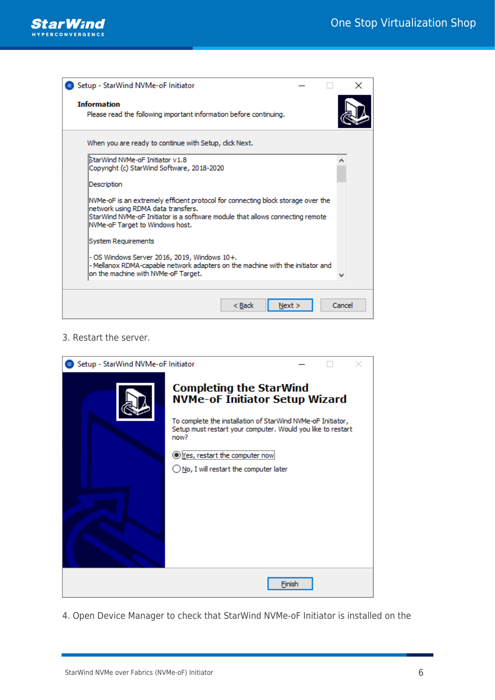

| Setup - StarWind NVMe-oF Initiator                                                                                                                                                                                                         |        |  |
|--------------------------------------------------------------------------------------------------------------------------------------------------------------------------------------------------------------------------------------------|--------|--|
| <b>Information</b><br>Please read the following important information before continuing.                                                                                                                                                   |        |  |
| When you are ready to continue with Setup, click Next.                                                                                                                                                                                     |        |  |
| StarWind NVMe-oF Initiator v1.8<br>Copyright (c) StarWind Software, 2018-2020                                                                                                                                                              |        |  |
| Description                                                                                                                                                                                                                                |        |  |
| NVMe-oF is an extremely efficient protocol for connecting block storage over the<br>network using RDMA data transfers.<br>StarWind NVMe-oF Initiator is a software module that allows connecting remote<br>NVMe-oF Target to Windows host. |        |  |
| System Requirements                                                                                                                                                                                                                        |        |  |
| - OS Windows Server 2016, 2019, Windows 10+.<br>- Mellanox RDMA-capable network adapters on the machine with the initiator and<br>on the machine with NVMe-oF Target.                                                                      |        |  |
| < Back<br>Next >                                                                                                                                                                                                                           | Cancel |  |

3. Restart the server.

| Setup - StarWind NVMe-oF Initiator |                                                                                                                                                                                                                                                                                                    |        |  |
|------------------------------------|----------------------------------------------------------------------------------------------------------------------------------------------------------------------------------------------------------------------------------------------------------------------------------------------------|--------|--|
|                                    | <b>Completing the StarWind</b><br><b>NVMe-oF Initiator Setup Wizard</b><br>To complete the installation of StarWind NVMe-oF Initiator,<br>Setup must restart your computer. Would you like to restart<br>now?<br><b>O</b> Yes, restart the computer now<br>◯ No, I will restart the computer later |        |  |
|                                    |                                                                                                                                                                                                                                                                                                    | Finish |  |

4. Open Device Manager to check that StarWind NVMe-oF Initiator is installed on the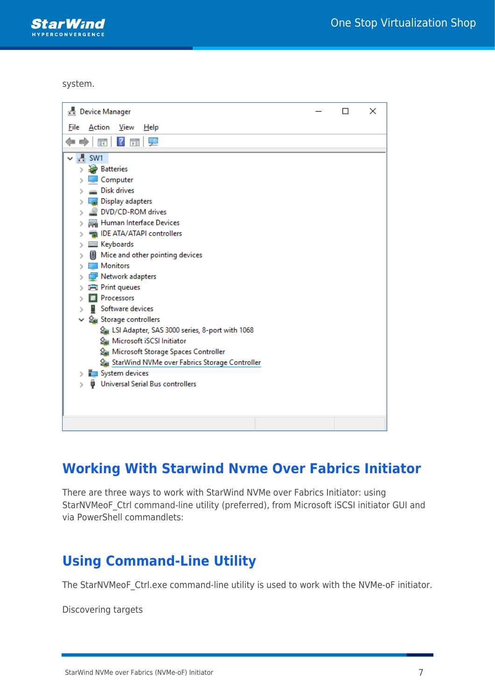**StarWind PCONVERGENCE** 

system.

| <b>Device Manager</b>                                                                                                                                                                                                                                                                                                                                                                                                                                                                                                                                                                                             |  | × |
|-------------------------------------------------------------------------------------------------------------------------------------------------------------------------------------------------------------------------------------------------------------------------------------------------------------------------------------------------------------------------------------------------------------------------------------------------------------------------------------------------------------------------------------------------------------------------------------------------------------------|--|---|
| File<br>Action<br>View<br>Help                                                                                                                                                                                                                                                                                                                                                                                                                                                                                                                                                                                    |  |   |
| $\vert$ ?<br>前<br>請<br>₽<br>E)                                                                                                                                                                                                                                                                                                                                                                                                                                                                                                                                                                                    |  |   |
| $\frac{1}{\sqrt{2}}$ SW1<br><b>Batteries</b><br>$\mathbf{r}$<br>Computer<br><b>Disk drives</b><br>Display adapters<br>DVD/CD-ROM drives<br>Human Interface Devices<br>IDE ATA/ATAPI controllers<br><b>Keyboards</b><br>≯<br>Mice and other pointing devices<br><b>Monitors</b><br>Network adapters<br><b>Print queues</b><br>Processors<br>Software devices<br>↓ Storage controllers<br>LSI Adapter, SAS 3000 series, 8-port with 1068<br>Microsoft iSCSI Initiator<br>Microsoft Storage Spaces Controller<br>StarWind NVMe over Fabrics Storage Controller<br>System devices<br>Universal Serial Bus controllers |  |   |
|                                                                                                                                                                                                                                                                                                                                                                                                                                                                                                                                                                                                                   |  |   |

# **Working With Starwind Nvme Over Fabrics Initiator**

There are three ways to work with StarWind NVMe over Fabrics Initiator: using StarNVMeoF Ctrl command-line utility (preferred), from Microsoft iSCSI initiator GUI and via PowerShell commandlets:

### **Using Command-Line Utility**

The StarNVMeoF\_Ctrl.exe command-line utility is used to work with the NVMe-oF initiator.

Discovering targets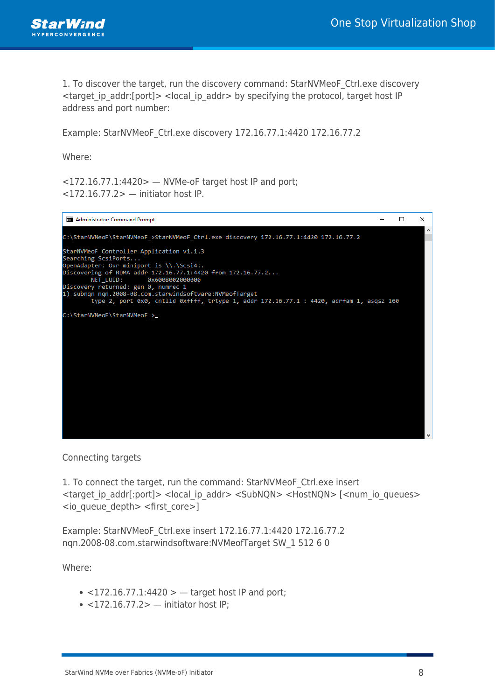

1. To discover the target, run the discovery command: StarNVMeoF\_Ctrl.exe discovery <target\_ip\_addr:[port]> <local\_ip\_addr> by specifying the protocol, target host IP address and port number:

Example: StarNVMeoF\_Ctrl.exe discovery 172.16.77.1:4420 172.16.77.2

Where:

 $\langle$  <172.16.77.1:4420>  $-$  NVMe-oF target host IP and port; <172.16.77.2> — initiator host IP.



Connecting targets

1. To connect the target, run the command: StarNVMeoF\_Ctrl.exe insert <target ip\_addr[:port]> <local\_ip\_addr> <SubNQN> <HostNQN> [<num\_io\_queues> <io\_queue\_depth> <first\_core>]

Example: StarNVMeoF\_Ctrl.exe insert 172.16.77.1:4420 172.16.77.2 nqn.2008-08.com.starwindsoftware:NVMeofTarget SW\_1 512 6 0

Where:

- $\bullet$  <172.16.77.1:4420 >  $-$  target host IP and port;
- $\bullet$  <172.16.77.2> initiator host IP;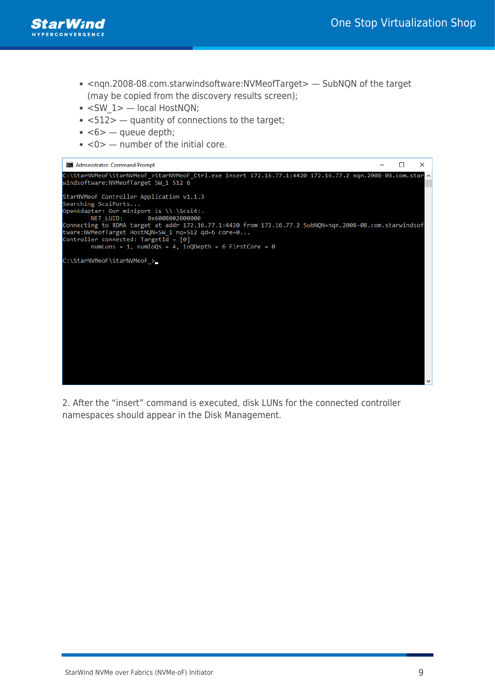

- <nqn.2008-08.com.starwindsoftware:NVMeofTarget> SubNQN of the target (may be copied from the discovery results screen);
- <SW 1> local HostNQN;
- $\cdot$  <512>  $-$  quantity of connections to the target;
- $\cdot$  <6>  $-$  queue depth;
- $\cdot$  <0>  $-$  number of the initial core.



2. After the "insert" command is executed, disk LUNs for the connected controller namespaces should appear in the Disk Management.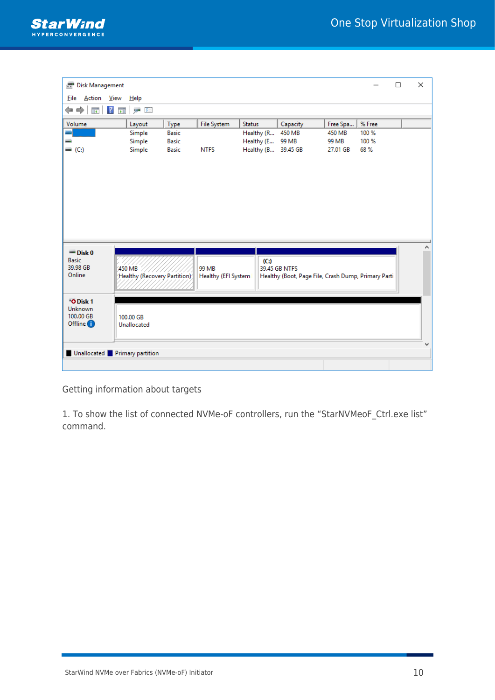

| <b>Disk Management</b><br>Ξī                                     |                                              |              |                     |                     |                                                     |          |        | $\Box$ | X |
|------------------------------------------------------------------|----------------------------------------------|--------------|---------------------|---------------------|-----------------------------------------------------|----------|--------|--------|---|
| Action <u>V</u> iew<br><b>File</b>                               | $He$ lp                                      |              |                     |                     |                                                     |          |        |        |   |
| ⇔ ⇒<br>ā4                                                        | ga (SE<br>$\sqrt{2}$<br>$\overrightarrow{p}$ |              |                     |                     |                                                     |          |        |        |   |
| Volume                                                           | Layout                                       | Type         | <b>File System</b>  | <b>Status</b>       | Capacity                                            | Free Spa | % Free |        |   |
| ₩                                                                | Simple                                       | <b>Basic</b> |                     | Healthy (R          | 450 MB                                              | 450 MB   | 100 %  |        |   |
|                                                                  | Simple                                       | <b>Basic</b> |                     | Healthy (E          | 99 MB                                               | 99 MB    | 100 %  |        |   |
| $=(C_i)$                                                         | Simple                                       | <b>Basic</b> | <b>NTFS</b>         | Healthy (B 39.45 GB |                                                     | 27.01 GB | 68 %   |        |   |
|                                                                  |                                              |              |                     |                     |                                                     |          |        |        |   |
| $=$ Disk 0                                                       |                                              |              |                     |                     |                                                     |          |        |        |   |
| <b>Basic</b><br>39.98 GB                                         | 450 MB                                       |              | 99 MB               | (C)                 | 39.45 GB NTFS                                       |          |        |        |   |
| Online                                                           | Healthy (Recovery Partition)                 |              | Healthy (EFI System |                     | Healthy (Boot, Page File, Crash Dump, Primary Parti |          |        |        |   |
|                                                                  |                                              |              |                     |                     |                                                     |          |        |        |   |
|                                                                  |                                              |              |                     |                     |                                                     |          |        |        |   |
| "O Disk 1<br><b>Unknown</b><br>100.00 GB<br>Offline <sup>1</sup> | 100,00 GB<br>Unallocated                     |              |                     |                     |                                                     |          |        |        |   |
|                                                                  | Unallocated Primary partition                |              |                     |                     |                                                     |          |        |        |   |
|                                                                  |                                              |              |                     |                     |                                                     |          |        |        |   |
|                                                                  |                                              |              |                     |                     |                                                     |          |        |        |   |

Getting information about targets

1. To show the list of connected NVMe-oF controllers, run the "StarNVMeoF\_Ctrl.exe list" command.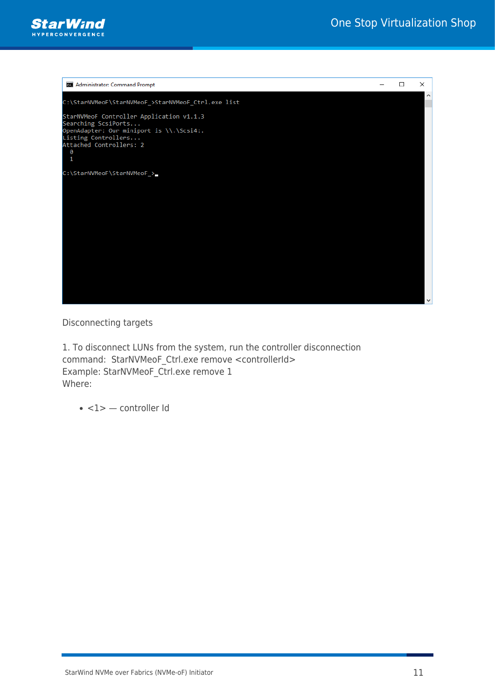



Disconnecting targets

1. To disconnect LUNs from the system, run the controller disconnection command: StarNVMeoF Ctrl.exe remove <controllerId> Example: StarNVMeoF Ctrl.exe remove 1 Where:

 $\cdot$  <1>  $-$  controller Id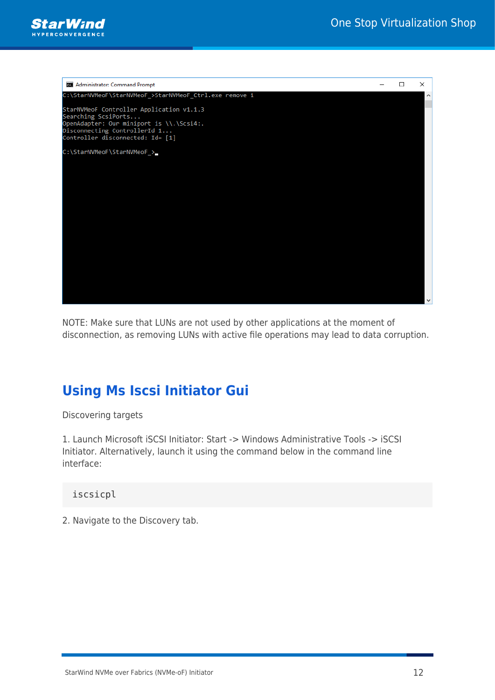



NOTE: Make sure that LUNs are not used by other applications at the moment of disconnection, as removing LUNs with active file operations may lead to data corruption.

# **Using Ms Iscsi Initiator Gui**

Discovering targets

1. Launch Microsoft iSCSI Initiator: Start -> Windows Administrative Tools -> iSCSI Initiator. Alternatively, launch it using the command below in the command line interface:

### iscsicpl

2. Navigate to the Discovery tab.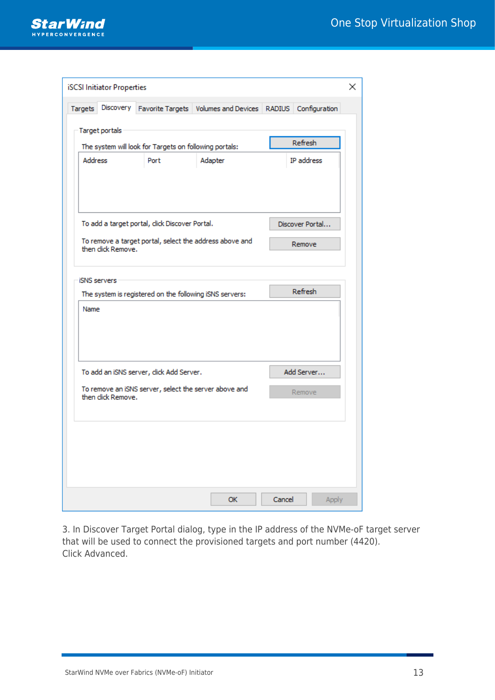

|                     | <b>iSCSI Initiator Properties</b> |                                                         |                                                         |               |                 | × |
|---------------------|-----------------------------------|---------------------------------------------------------|---------------------------------------------------------|---------------|-----------------|---|
| Targets             | Discovery                         |                                                         | Favorite Targets   Volumes and Devices                  | <b>RADIUS</b> | Configuration   |   |
| Target portals      |                                   |                                                         |                                                         |               |                 |   |
|                     |                                   | The system will look for Targets on following portals:  |                                                         |               | Refresh         |   |
| <b>Address</b>      |                                   | Port                                                    | Adapter                                                 |               | IP address      |   |
|                     |                                   |                                                         |                                                         |               |                 |   |
|                     |                                   |                                                         |                                                         |               |                 |   |
|                     |                                   | To add a target portal, click Discover Portal.          |                                                         |               | Discover Portal |   |
|                     | then click Remove.                |                                                         | To remove a target portal, select the address above and |               | Remove          |   |
| <b>ISNS</b> servers |                                   |                                                         |                                                         |               |                 |   |
|                     |                                   | The system is registered on the following iSNS servers: |                                                         |               | Refresh         |   |
| Name                |                                   |                                                         |                                                         |               |                 |   |
|                     |                                   |                                                         |                                                         |               |                 |   |
|                     |                                   |                                                         |                                                         |               |                 |   |
|                     |                                   | To add an iSNS server, click Add Server.                |                                                         |               | Add Server      |   |
|                     | then click Remove.                | To remove an iSNS server, select the server above and   |                                                         |               | Remove          |   |
|                     |                                   |                                                         |                                                         |               |                 |   |
|                     |                                   |                                                         |                                                         |               |                 |   |
|                     |                                   |                                                         |                                                         |               |                 |   |
|                     |                                   |                                                         | <b>OK</b>                                               | Cancel        | Apply           |   |

3. In Discover Target Portal dialog, type in the IP address of the NVMe-oF target server that will be used to connect the provisioned targets and port number (4420). Click Advanced.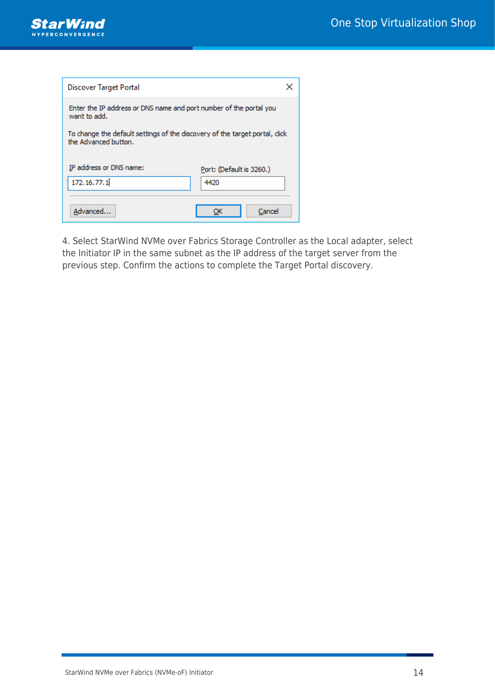

| <b>Discover Target Portal</b>                                                                       |                                  |
|-----------------------------------------------------------------------------------------------------|----------------------------------|
| Enter the IP address or DNS name and port number of the portal you<br>want to add.                  |                                  |
| To change the default settings of the discovery of the target portal, click<br>the Advanced button. |                                  |
| IP address or DNS name:<br>172.16.77.1                                                              | Port: (Default is 3260.)<br>4420 |
| Advanced                                                                                            | Cancel                           |

4. Select StarWind NVMe over Fabrics Storage Controller as the Local adapter, select the Initiator IP in the same subnet as the IP address of the target server from the previous step. Confirm the actions to complete the Target Portal discovery.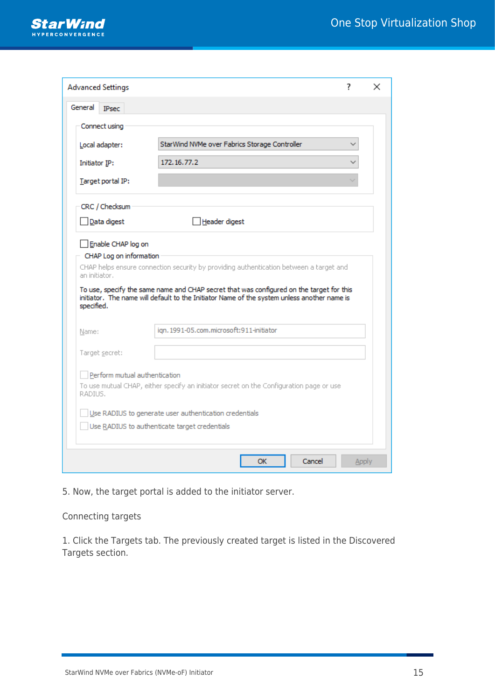

| Connect using                                                                |                                                                                                                                                                                                                                                                                   |
|------------------------------------------------------------------------------|-----------------------------------------------------------------------------------------------------------------------------------------------------------------------------------------------------------------------------------------------------------------------------------|
| Local adapter:                                                               | StarWind NVMe over Fabrics Storage Controller                                                                                                                                                                                                                                     |
| Initiator IP:                                                                | 172.16.77.2                                                                                                                                                                                                                                                                       |
| Target portal IP:                                                            |                                                                                                                                                                                                                                                                                   |
| CRC / Checksum                                                               |                                                                                                                                                                                                                                                                                   |
| Data digest                                                                  | Header digest                                                                                                                                                                                                                                                                     |
| CHAP Log on information                                                      | CHAP helps ensure connection security by providing authentication between a target and<br>To use, specify the same name and CHAP secret that was configured on the target for this<br>initiator. The name will default to the Initiator Name of the system unless another name is |
|                                                                              | ign. 1991-05.com.microsoft:911-initiator                                                                                                                                                                                                                                          |
| Enable CHAP log on<br>an initiator.<br>specified.<br>Name:<br>Target secret: |                                                                                                                                                                                                                                                                                   |
| Perform mutual authentication<br>RADIUS.                                     | To use mutual CHAP, either specify an initiator secret on the Configuration page or use                                                                                                                                                                                           |

5. Now, the target portal is added to the initiator server.

### Connecting targets

1. Click the Targets tab. The previously created target is listed in the Discovered Targets section.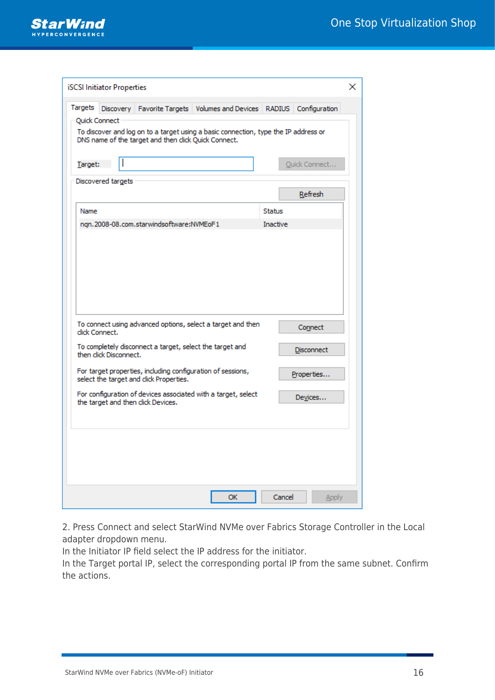

|         | <b>iSCSI</b> Initiator Properties |                                                          |                                                                                     |               |                   | × |
|---------|-----------------------------------|----------------------------------------------------------|-------------------------------------------------------------------------------------|---------------|-------------------|---|
| Targets | Discovery<br>Quick Connect        |                                                          | Favorite Targets   Volumes and Devices                                              | <b>RADIUS</b> | Configuration     |   |
| Target: |                                   | DNS name of the target and then click Quick Connect.     | To discover and log on to a target using a basic connection, type the IP address or |               |                   |   |
|         | Discovered targets                |                                                          |                                                                                     |               | Quick Connect     |   |
| Name    |                                   |                                                          |                                                                                     | <b>Status</b> | Refresh           |   |
|         |                                   | ngn.2008-08.com.starwindsoftware:NVMEoF1                 |                                                                                     | Inactive      |                   |   |
|         |                                   |                                                          |                                                                                     |               |                   |   |
|         |                                   |                                                          |                                                                                     |               |                   |   |
|         |                                   |                                                          |                                                                                     |               |                   |   |
|         | click Connect.                    |                                                          | To connect using advanced options, select a target and then                         |               | Connect           |   |
|         | then click Disconnect.            | To completely disconnect a target, select the target and |                                                                                     |               | <b>Disconnect</b> |   |
|         |                                   | select the target and click Properties.                  | For target properties, including configuration of sessions,                         |               | Properties        |   |
|         |                                   | the target and then click Devices.                       | For configuration of devices associated with a target, select                       |               | Devices           |   |
|         |                                   |                                                          |                                                                                     |               |                   |   |
|         |                                   |                                                          |                                                                                     |               |                   |   |
|         |                                   |                                                          |                                                                                     |               |                   |   |
|         |                                   |                                                          | OK                                                                                  | Cancel        | Apply             |   |

2. Press Connect and select StarWind NVMe over Fabrics Storage Controller in the Local adapter dropdown menu.

In the Initiator IP field select the IP address for the initiator.

In the Target portal IP, select the corresponding portal IP from the same subnet. Confirm the actions.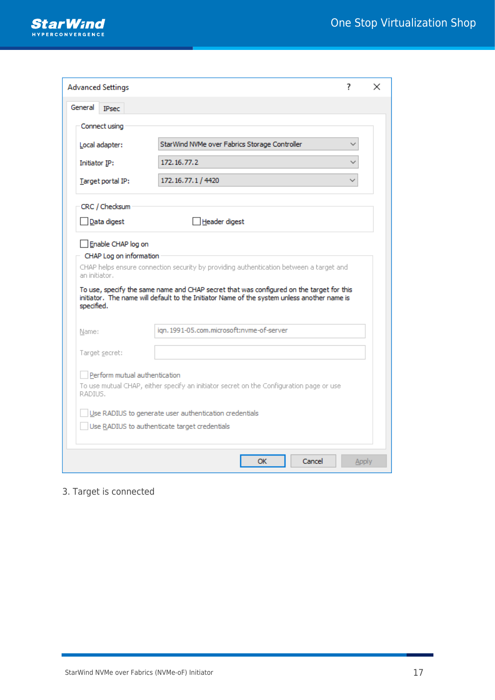

| Local adapter:                                                               | StarWind NVMe over Fabrics Storage Controller                                                                                                                                                                                                                                     |
|------------------------------------------------------------------------------|-----------------------------------------------------------------------------------------------------------------------------------------------------------------------------------------------------------------------------------------------------------------------------------|
| Initiator IP:                                                                | 172, 16, 77, 2                                                                                                                                                                                                                                                                    |
| Target portal IP:                                                            | 172.16.77.1 / 4420                                                                                                                                                                                                                                                                |
| CRC / Checksum                                                               |                                                                                                                                                                                                                                                                                   |
| Data digest                                                                  | Header digest                                                                                                                                                                                                                                                                     |
| CHAP Log on information                                                      | CHAP helps ensure connection security by providing authentication between a target and<br>To use, specify the same name and CHAP secret that was configured on the target for this<br>initiator. The name will default to the Initiator Name of the system unless another name is |
|                                                                              | ign. 1991-05.com.microsoft:nvme-of-server                                                                                                                                                                                                                                         |
| Enable CHAP log on<br>an initiator.<br>specified.<br>Name:<br>Target secret: |                                                                                                                                                                                                                                                                                   |
| Perform mutual authentication<br>RADIUS.                                     | To use mutual CHAP, either specify an initiator secret on the Configuration page or use                                                                                                                                                                                           |

### 3. Target is connected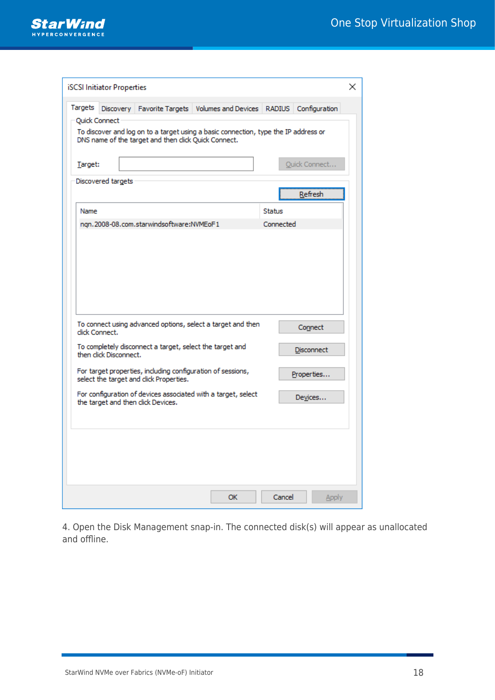

|         | <b>iSCSI</b> Initiator Properties |                                                          |                                                                                     |               |                   | × |
|---------|-----------------------------------|----------------------------------------------------------|-------------------------------------------------------------------------------------|---------------|-------------------|---|
| Targets | Discovery                         |                                                          | Favorite Targets   Volumes and Devices                                              | <b>RADIUS</b> | Configuration     |   |
|         | Quick Connect                     | DNS name of the target and then click Quick Connect.     | To discover and log on to a target using a basic connection, type the IP address or |               |                   |   |
| Target: |                                   |                                                          |                                                                                     |               | Quick Connect     |   |
|         | Discovered targets                |                                                          |                                                                                     |               | Refresh           |   |
| Name    |                                   |                                                          |                                                                                     | <b>Status</b> |                   |   |
|         |                                   | ngn.2008-08.com.starwindsoftware:NVMEoF1                 |                                                                                     | Connected     |                   |   |
|         | click Connect.                    |                                                          | To connect using advanced options, select a target and then                         |               | Connect           |   |
|         | then click Disconnect.            | To completely disconnect a target, select the target and |                                                                                     |               | <b>Disconnect</b> |   |
|         |                                   | select the target and click Properties.                  | For target properties, including configuration of sessions,                         |               | Properties        |   |
|         |                                   | the target and then click Devices.                       | For configuration of devices associated with a target, select                       |               | Devices           |   |
|         |                                   |                                                          |                                                                                     |               |                   |   |
|         |                                   |                                                          | ОΚ                                                                                  | Cancel        | Apply             |   |

4. Open the Disk Management snap-in. The connected disk(s) will appear as unallocated and offline.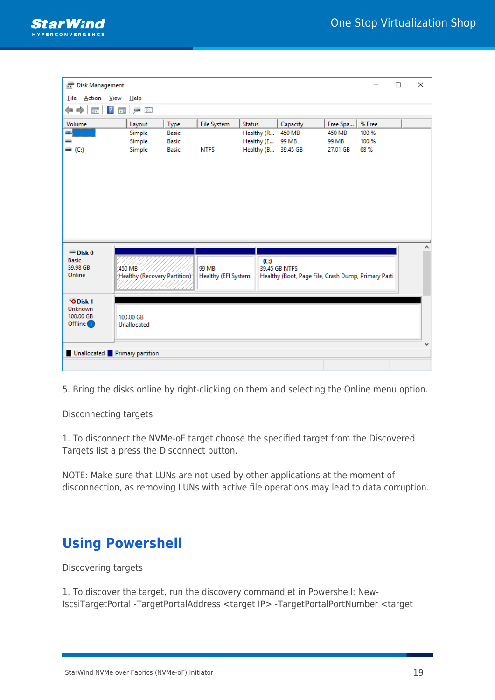

|        | $\Box$                                                   | ×                                                   |
|--------|----------------------------------------------------------|-----------------------------------------------------|
|        |                                                          |                                                     |
|        |                                                          |                                                     |
| % Free |                                                          |                                                     |
| 100 %  |                                                          |                                                     |
|        |                                                          |                                                     |
|        |                                                          |                                                     |
|        |                                                          | ۸                                                   |
|        |                                                          |                                                     |
|        |                                                          |                                                     |
|        |                                                          |                                                     |
|        |                                                          |                                                     |
|        |                                                          |                                                     |
|        |                                                          |                                                     |
|        |                                                          |                                                     |
|        |                                                          |                                                     |
|        | Free Spa<br>450 MB<br>99 MB<br>100 %<br>68 %<br>27.01 GB | Healthy (Boot, Page File, Crash Dump, Primary Parti |

5. Bring the disks online by right-clicking on them and selecting the Online menu option.

Disconnecting targets

1. To disconnect the NVMe-oF target choose the specified target from the Discovered Targets list a press the Disconnect button.

NOTE: Make sure that LUNs are not used by other applications at the moment of disconnection, as removing LUNs with active file operations may lead to data corruption.

# **Using Powershell**

Discovering targets

1. To discover the target, run the discovery commandlet in Powershell: New-IscsiTargetPortal -TargetPortalAddress <target IP> -TargetPortalPortNumber <target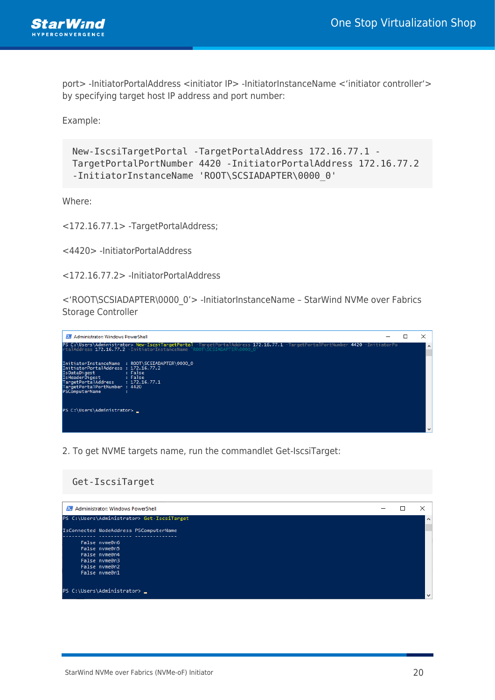

port> -InitiatorPortalAddress <initiator IP> -InitiatorInstanceName <'initiator controller'> by specifying target host IP address and port number:

Example:

```
New-IscsiTargetPortal -TargetPortalAddress 172.16.77.1 -
TargetPortalPortNumber 4420 -InitiatorPortalAddress 172.16.77.2
-InitiatorInstanceName 'ROOT\SCSIADAPTER\0000_0'
```
Where:

<172.16.77.1> -TargetPortalAddress;

<4420> -InitiatorPortalAddress

<172.16.77.2> -InitiatorPortalAddress

<'ROOT\SCSIADAPTER\0000\_0'> -InitiatorInstanceName – StarWind NVMe over Fabrics Storage Controller



2. To get NVME targets name, run the commandlet Get-IscsiTarget:

### Get-IscsiTarget

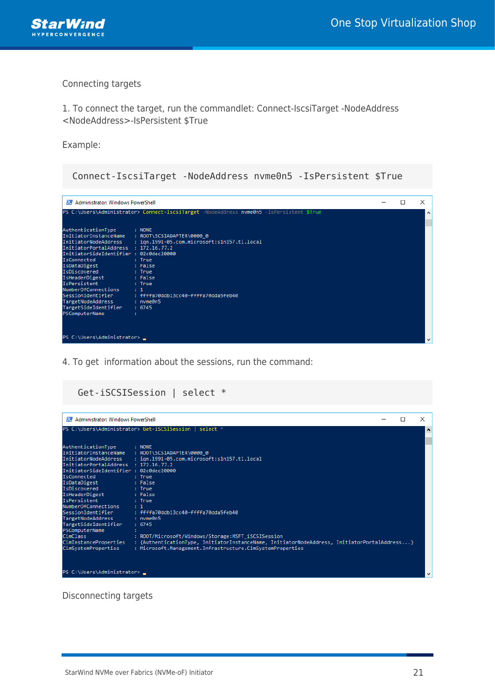

#### Connecting targets

1. To connect the target, run the commandlet: Connect-IscsiTarget -NodeAddress <NodeAddress>-IsPersistent \$True

Example:

| Administrator: Windows PowerShell                                                                                                                                                                                                                                                                                                                                                                    |                                                                                                                                                                                                                            | П | × |
|------------------------------------------------------------------------------------------------------------------------------------------------------------------------------------------------------------------------------------------------------------------------------------------------------------------------------------------------------------------------------------------------------|----------------------------------------------------------------------------------------------------------------------------------------------------------------------------------------------------------------------------|---|---|
|                                                                                                                                                                                                                                                                                                                                                                                                      | PS C:\Users\Administrator> Connect-IscsiTarget -NodeAddress nvme0n5 -IsPersistent \$True                                                                                                                                   |   |   |
| AuthenticationType<br>InitiatorNodeAddress<br>InitiatorPortalAddress : 172.16.77.2<br>InitiatorSideIdentifier : 02c0dec20000<br><b>IsConnected</b><br>IsDataDigest<br>IsDiscovered<br><b>Example 1</b> Security 1 True<br>IsHeaderDigest : False<br>IsPersistent<br><b>Example: 1</b> Final True<br>NumberOfConnections : 1<br>TargetNodeAddress : nvme0n5<br>TargetSideIdentifier<br>PSComputerName | $\blacksquare$ : NONE<br>InitiatorInstanceName : ROOT\SCSIADAPTER\0000_0<br>: ign.1991-05.com.microsoft:s1n157.tl.local<br>: True<br>: False<br>SessionIdentifier : ffffa70ddb13cc40-ffffa70dda5feb40<br>$\therefore$ 6745 |   |   |

4. To get information about the sessions, run the command:

### Get-iSCSISession | select \*

| Administrator: Windows PowerShell                                                                                                                                                                                                                           |                                                                                                                                                                                                                                              |  | × |
|-------------------------------------------------------------------------------------------------------------------------------------------------------------------------------------------------------------------------------------------------------------|----------------------------------------------------------------------------------------------------------------------------------------------------------------------------------------------------------------------------------------------|--|---|
|                                                                                                                                                                                                                                                             | PS C:\Users\Administrator> Get-iSCSISession   select *                                                                                                                                                                                       |  | ^ |
| AuthenticationType<br>InitiatorPortalAddress : 172.16.77.2<br>InitiatorSideIdentifier : 02c0dec20000<br><b>IsConnected</b><br>IsDataDigest<br>IsDiscovered<br>IsHeaderDigest : False<br><b>IsPersistent</b><br>NumberOfConnections : 1<br>TargetNodeAddress | : NONE<br>InitiatorInstanceName : ROOT\SCSIADAPTER\0000_0<br>InitiatorNodeAddress : ign.1991-05.com.microsoft:s1n157.tl.local<br>: True<br>: False<br>: True<br>: True<br>SessionIdentifier : ffffa70ddb13cc40-ffffa70dda5feb40<br>: nvme0n5 |  |   |
| TargetSideIdentifier<br>PSComputerName<br><b>CimClass</b><br>CimInstanceProperties<br>CimSystemProperties<br>PS C:\Users\Administrator> _                                                                                                                   | : 6745<br>: ROOT/Microsoft/Windows/Storage:MSFT_iSCSISession<br>: {AuthenticationType, InitiatorInstanceName, InitiatorNodeAddress, InitiatorPortalAddress}<br>: Microsoft.Management.Infrastructure.CimSystemProperties                     |  |   |

Disconnecting targets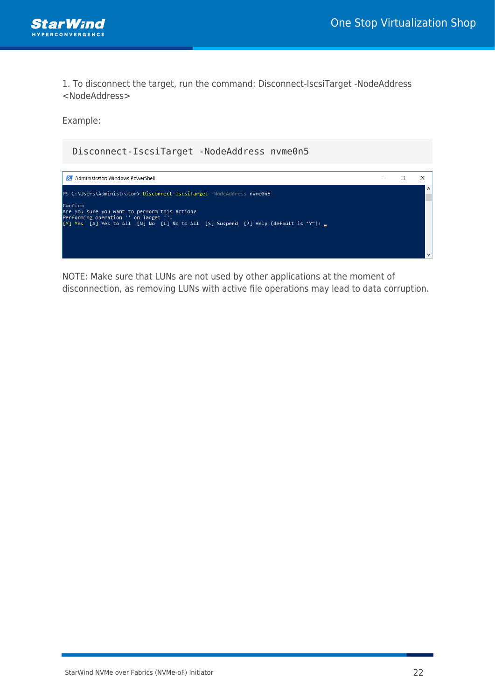

1. To disconnect the target, run the command: Disconnect-IscsiTarget -NodeAddress <NodeAddress>

Example:



NOTE: Make sure that LUNs are not used by other applications at the moment of disconnection, as removing LUNs with active file operations may lead to data corruption.